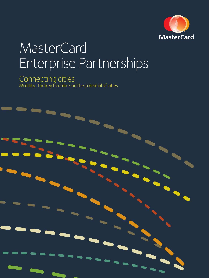

## **MasterCard** Enterprise Partnerships

### Connecting cities Mobility: The key to unlocking the potential of cities

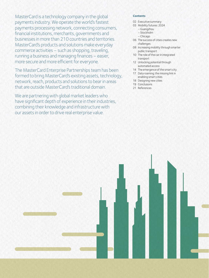MasterCard is a technology company in the global payments industry. We operate the world's fastest payments processing network, connecting consumers, financial institutions, merchants, governments and businesses in more than 210 countries and territories. MasterCard's products and solutions make everyday commerce activities – such as shopping, traveling, running a business and managing finances – easier, more secure and more efficient for everyone.

The MasterCard Enterprise Partnerships team has been formed to bring MasterCard's existing assets, technology, network, reach, products and solutions to bear in areas that are outside MasterCard's traditional domain.

We are partnering with global market leaders who have significant depth of experience in their industries, combining their knowledge and infrastructure with our assets in order to drive real enterprise value.

### **Contents**

- 02 Executive summary
- 03 Mobility futures: 2024
	- Guangzhou
	- Stockholm
	- Chicago
- 06 The success of cities creates new challenges
- 08 Increasing mobility through smarter public transport
- 10 The role of the car in integrated transport
- 12 Unlocking potential through automated access
- 14 The emergence of the smart city
- 17 Data roaming: the missing link in enabling smart cities
- 18 Designing new cities
- 19 Conclusions
- 21 References

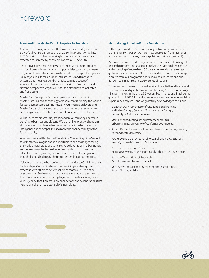### Foreword

#### **Foreword from MasterCard Enterprise Partnerships**

Cities are becoming victims of their own success. Today more than 50% of us live in urban areas and by 2050 this proportion will rise to 70%. Visitor numbers are rising too, with international arrivals expected to increase by nearly a billion from 1995 to 2020.<sup>1</sup>

People love cities because they act as creative magnets, bringing work, culture and entertainment opportunities together to create rich, vibrant menus for urban dwellers. But crowding and congestion is already taking its toll on urban infrastructure and transport systems, and moving around cities is becoming a cause of significant stress for both residents and visitors. From an individual citizen's perspective, city travel is far too often both complicated and frustrating.

MasterCard Enterprise Partnerships is a new venture within MasterCard, a global technology company that is running the world's fastest payments processing network. Our focus is on leveraging MasterCard's solutions and reach to improve the user experience across big ecosystems. Transit is one of our core areas of focus.

We believe that smarter city transit and travel can bring enormous benefits to business and citizens. We are joining forces with experts at the forefront of change to create partnerships which have the intelligence and the capabilities to make the connected city of the future a reality.

We commissioned this Future Foundation 'Connecting Cities' report to kick-start a dialogue on the opportunities and challenges facing the world's major cities and to help take collaboration in urban transit and development to the next level. We wanted to uncover the difficulties faced by average citizens and to find out what global thought leaders had to say about future trends in urban mobility.

Collaboration is at the heart of what we do at MasterCard Enterprise Partnerships. Our work is based on combining our strength and expertise with others to deliver solutions that would just not be possible alone. So thank you to all the experts that took part, and to the Future Foundation for pulling together such a fascinating report. We truly hope that it creates new connections and collaborations that help to unlock the true potential of smart cities.

#### **Methodology from the Future Foundation**

In this report we describe how mobility between and within cities is changing. By 'mobility' we mean how people get from their origin to their destination by any means (public and private transport).

We have reviewed a wide range of sources and undertaken original research to inform and shape our analysis. We've also drawn on our understanding of more than 100 consumer trends that are shaping global consumer behavior. Our understanding of consumer change is drawn from our programme of rolling global research and our horizon-scanning 'Beyond 2020' series of reports.

To probe specific areas of interest against the initial trend framework, we commissioned quantitative research among 500 consumers aged 18+, per market, in the UK, US, Sweden, South Korea and Brazil during quarter four of 2013. In parallel, we interviewed a number of mobility experts and analysts – and we gratefully acknowledge their input:

- Elizabeth Deakin, Professor of City & Regional Planning and Urban Design, College of Environmental Design, University of California, Berkeley.
- Martin Wachs, Distinguished Professor Emeritus, Urban Planning, University of California, Los Angeles.
- Robert Bertini, Professor of Civil and Environmental Engineering, Portland State University.
- Rachel Weinberger, Director of Research and Policy Strategy, Nelson\Nygaard Consulting Associates.
- Professor Ian Yeoman, Associate Professor, Victoria University of Wellington and author of 12 travel books.
- Rochelle Turner, Head of Research, World Travel and Tourism Council.
- Matt Armstrong, Head of Marketing and Distribution, British Airways Holidays.

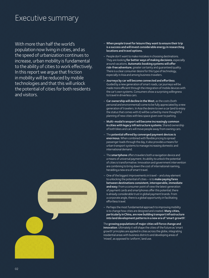### Executive summary

With more than half the world's population now living in cities, and as the speed of urbanization continues to increase, urban mobility is fundamental to the ability of cities to work effectively. In this report we argue that friction in mobility will be reduced by mobile technologies and that this will unlock the potential of cities for both residents and visitors.

- When people travel for leisure they want to ensure their trip is a success and will invest considerable energy in researching locations and travel options.
- People don't want to make mistakes in choosing destinations. They are looking for better ways of making decisions, especially around vacations. Automatic booking systems will offer risk-free adventure, greater certainty and quaranteed quality. There is a clear consumer desire for this type of technology, especially in Asia and among business travelers.
- Journeys by car will become connected and effortless. Guided by a new generation of smart roads, car journeys will be made more efficient through the integration of mobile devices with the car's own systems. Consumers show a surprising willingness to travel in driverless cars.
- Car ownership will decline in the West, as the costs (both personal and environmental) come to be fully appreciated by a new generation of travelers. In Asia the desire to own a car (and to enjoy the status that comes with it) will be curbed by more thoughtful planning of new cities with less space given over to parking.
- Multi-modal transport will become increasingly common in cities with legacy infrastructure systems. Shared ownership of both bikes and cars will move people away from owning cars.
- The potential offered by converged payment devices is enormous. When combined with flexible pricing to spread passenger loads through the day, it also provides a means for urban transport systems to manage increasing domestic and international demand.
- The smartphone offers travelers both a navigation device and ameans of universal payment. Its ability to unlock the potential of cities is transformative. Innovation and government intervention are combining to bring down the cost of international roaming, heralding a new era of smart travel.
- One of the biggest improvements in travel and a key element to unlocking the potential of cities – is to make paying fares between destinations consistent, interoperable, immediate and easy. From a consumer point of view the latest generation of payment cards and smartphones offer this potential; there is already considerable trust in global payment brands. From a corporate angle, there is a global opportunity in facilitating effortless travel.
- Perhaps the most fundamental approach to improving mobility is to change how cities are designed and created. Many cities, particularly in China, are now building transport infrastructure into land development patterns in a new era of 'smart growth'.

The growing populations of major cities will force change and innovation. Ultimately it will shape the cities of the future as 'smart growth' principles are applied in cities across the globe, integrating residential areas with business districts and developing areas of 'mixed', as opposed to 'uniform', land use.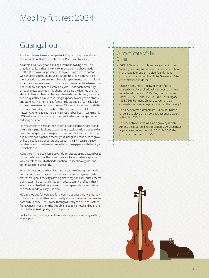### Mobility futures: 2024

### Guangzhou

Jing is on his way to work on a perfect May morning. He works in the International Finance center in the Pearl River New City.

As an ambitious 27-year-old, Jing dreams of owning a car. The practical reality is that new environmental controls have made it difficult to own a car privately. He enjoys using a rented car for weekend trips to the countryside but for his urban commute it is more practical to use a rented bike. With apartments both small and expensive, it makes sense to use a shared bike rather than to own one. There simply isn't space to store a bicycle. He navigates carefully through crowded streets, his phone recording the journey and his state of physical fitness as he heads towards the city. Jing, like many people, quantifies his exercise using his phone to analyze his fitness and stamina. This morning he feels a little bit sluggish so he decides to pass the metro station on the new 13 line and to connect with the Bus Rapid Transit system instead. The city feels proud of its bus network. As long ago as the early 2010s the bus fleet – using mainly LPG fuel – was playing an important part in beating congestion and reducing pollution.

He freewheels to a halt at the bus station, docking his bright orange bike and swiping his phone to pay for its use. Jing's trip is added to his real time budgeting app, keeping him in control of his spending. The bus system has expanded recently as Guangzhou continues to grow. Unlike a less flexible underground system, the BRT can serve new residential and mixed use communities and keep pace with the city's irresistible rise.

As he is early the bus is less busy and alters its stopping pattern based on the destinations of the passengers – all of whom have a phone which alerts the bus to their destination. This technology has cut commuting times recently.

When he gets onto the bus, Jing has the choice of using a contactless card or his phone to pay for the journey. The same payment system exists throughout the city allowing him to pay for bikes, buses, metro trains, taxis, hire cars and mileage in private cars. He reflects that it seems incredible that people used to pay separately for each stage of a multi-mode journey – so slow!

He's also looking forward to a forthcoming business trip. His journey to Baiyun airport and beyond is greatly assisted by having his boarding pass on his phone – he'll swipe through directly to his China Eastern flight. Once in Hong Kong he'll be able to go to his hotel and open the door to his suite simply by using his phone.

Locks, barriers, queues, check-ins and delays are increasingly a thing of the past.

### Current State of Play: China

- 56% of Chinese smartphone users expect to be "making purchases more often on their smartphone in the next 12 months" – a significantly higher proportion than in the USA (31%), Germany (16%) or the Netherlands (12%).<sup>2</sup>
- Chinese consumers many of whom find car ownership highly aspirational – expect to pay much more for a luxury car (\$116,592) than citizens of Brazil (\$49,587), the USA (\$50,000) or Hungary (\$33,756). For many Chinese consumers, car ownership remains an aspiration rather than reality. 3
- The bicycle remains important 39% of Chinese citizens use bicycle transport at least once a week. In Brazil it's 24%. 4
- The use of travel apps in China is growing rapidly. Among the urban, online population, 22% used travel apps at least once a month in 2011. By 2013 the proportion had reached 27%. 5

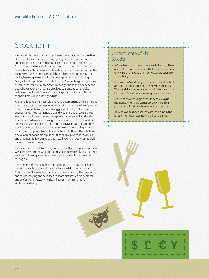### Stockholm

Axel is lost. Purposefully lost. He often is these days. As the Creative Director of a Swedish advertising agency he craves inspiration and stimulus. He likes to explore unfamiliar cities such as Gothenburg. The problem with wandering around a strange city is that there is no guarantee you'll chance upon interesting things. There's a risk that the exercise will waste time. For Axel this problem is overcome by using his RayBan sunglasses which offer a range of services including Google Field Trip. He's on a curated tour of Gothenburg, led by his own preferences (for quirky architecture, design shops and independent bookshops). Axel's wandering provides guaranteed serendipity; he knows that he will 'chance' upon things that he likes and this hour of spare time will be put to good use.

Axel is reflecting on a travel blog he read that morning which criticized the increasingly common phenomenon of 'curated travel' – of people using mobile technologies and being guided through cities by an unseen hand. The argument is that individuals using these services see only a highly selective and unrepresentative slice of any location; that 'travel' is diminished through the elimination of the bad and the unnecessary. In an age of guided tours, all travelers are now merely tourists. People miss the true nature of a town by shuttling between only those things which are of direct interest to them. The article was a development of an old argument that people plan trips too much and that most follow an increasingly well-worn, TripAdvisor-guided itinerary through towns.

Axel surprises himself by having some sympathy for this point of view. Given limitless time he would be interested in a completely unstructured walk and following his nose – the nose his smart-glasses are now resting on.

The problem of course is that time is limited. Like many people Axel wants to be able to share pictures of his travel discoveries. As a Creative Director people expect him to be uncovering the original and the interesting and he is keen to share pictures via his personal and professional networking sites. There simply isn't time for aimless wandering.

### Current State of Play: Sweden

- In Sweden, 46% of consumers like talking to others about the creative activities that they do. In Russia, only 41% of the population derive satisfaction from this activity.
- Seven in ten Swedes aged between 16 and 24 feel a strong or moderate need for new experiences. This need declines with age; only 41% of those aged between 55 and 64 are seeking new experiences.
- Nine in ten Swedes agree that they really value moments when they can just relax. While a high proportion, it is similar to many other countries.
- 45% of Swedes have shared content online in the last six months. In Germany the figure is 34%.

\$ \$\$\$ **\$ £ € ¥**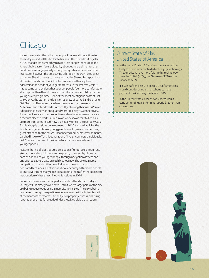### **Chicago**

Lauren terminates the call on her Apple iPhone – a little antiquated these days – and settles back into her seat. Her driverless Chrysler 400C changes lane smoothly to take a less congested route to the Amtrak hub. Lauren feels a bit guilty about using a train rather then her driverless car (especially as her journey is faster now on a 'smart' interstate) however the time saving offered by the train is too great to ignore. She also wants to have a look at the Shared Transport hub at the Amtrak station. Fiat Chrysler has invested heavily here in addressing the needs of younger motorists. In the last few years it has become very evident that younger people feel more comfortable sharing a car than they do owning one. She has responsibility for the young driver programme – one of the most prestigious posts at Fiat Chrysler. At the station she looks on at a row of parked and charging Fiat Electros. These cars have been developed for the needs of Millennials and offer driverless capability, allowing their users ('driver' is beginning to seem an antiquated word) to enjoy 4G connectivity. Time spent in cars is now productive and useful – for many they are a favorite place to work. Lauren's own work shows that Millennials aremore interested in cars now than at any time in the past ten years. This is a hugely positive development; in 2016 it looked as if, for the first time, a generation of young people would grow up without any great affection for the car. As unconnected and 'dumb' environments, cars had little to offer this generation of hyper-connected individuals. Fiat Chrysler was one of the innovators that reinvented cars for younger people.

Next to the line of Electros are a collection of rental bikes. Tough and sturdy, these electric bikes are cheap, easy to access by phone or card and appeal to younger people through navigation devices and an ability to capture data on each bike journey. The bike is a fierce competitor to cars in cities now, following the construction of dedicated bike lanes. Electric bikes have encouraged far more people to start cycling and many cities are adopting them after the successful introduction of these machines to Barcelona in 2014.

Lauren strides across the car park and enters the station. Today's journey will ultimately take her to Detroit where large parts of the city are being redeveloped using 'smart city' principles. The city is being revitalized through imaginative redevelopment with efficient transit at the heart of the reforms. Aided by low property prices and a rising reputation as a hub for creative industries, Detroit is a city reborn.

Guy Rockwell

### Current State of Play: United States of America

- In the United States, 60% of consumers would be likely to ride in a car controlled entirely by technology. The Americans have more faith in this technology than the British (45%), the Germans (37%) or the Japanese (28%).
- If it was safe and easy to do so, 38% of Americans would consider using a smartphone to make payments. In Germany the figure is 31%.
- In the United States, 44% of consumers would consider renting a car for a short period rather than owning one.

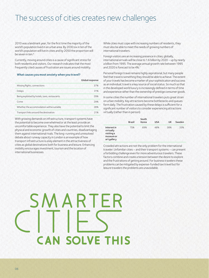### The success of cities creates new challenges

2010 was a landmark year; for the first time the majority of the world's population lived in an urban area. By 2030 six in ten of the world's population will live in cities and by 2050 the proportion will be seven in ten.<sup>6</sup>

Currently, moving around cities is a cause of significant stress for both residents and visitors. Our research indicates that the most frequently cited causes of frustration are issues around mobility.

#### **What causes you most anxiety when you travel?**

|                                               | Global response |
|-----------------------------------------------|-----------------|
| Missing flights, connections                  | 37%             |
| Delays                                        | 31%             |
| Being exploited by hotels, taxis, restaurants | 29%             |
| Crime                                         | 29%             |
| Whether the accommodation will be suitable    | 28%             |
| Transport links around the destination        | 21%             |

With growing demands on infrastructure, transport systems have the potential to become overwhelmed or at the least provide an uncomfortable experience. They also have the potential to limit the physical and economic growth of cities and countries, disadvantaging them against international rivals. The long-running and unresolved debate about runway capacity in London is an example of how transport infrastructure is a key element in the attractiveness of cities as global destinations both for business and leisure. Enhancing mobility encourages investment, tourism and the location of international businesses.

While cities must cope with increasing numbers of residents, they must also be able to meet the needs of growing numbers of international travelers.

Foreign visitors are an increasing presence in cities; globally, international arrivals will be close to 1.6 billion by 2020 – up by nearly a billion from 1995. The average annual growth rate between 1995 and 2020 is forecast to be 4%.7

Personal foreign travel remains highly aspirational, but many people feel that travel is something they should be able to achieve. The extent of your travels has become a marker of your sophistication and success as an individual; travel is a key source of social status. So much so that in the developed world luxury is increasingly defined in terms of time and experience rather than the ownership of prestige consumer goods.

In some cities the number of international travelers puts great strain on urban mobility. Key attractions become bottlenecks and queues form daily. The frustration caused by these delays is sufficient for a significant number of visitors to consider experiencing attractions virtually (rather than in person).

|                                                                    | <b>Brazil</b> | South<br>Korea | <b>USA</b> | UK  | Sweden |
|--------------------------------------------------------------------|---------------|----------------|------------|-----|--------|
| Interest in<br>virtually<br>visiting a<br>museum or<br>art gallery | 75%           | 69%            | 48%        | 38% | 33%    |

Crowded attractions are not the only problem for the international traveler. Unfamiliar cities – and their transport systems – can present a forbidding challenge even for more adventurous travelers. These factors combine and create a tension between the desire to explore and the frustrations of getting around. For business travelers these problems can be mitigated by expense-funded taxi travel but for leisure travelers the problems are unavoidable.

# SMARTER **CAN SOLVE THIS**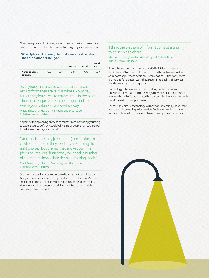One consequence of this is a greater consumer desire to research trips in advance and to reduce the risk involved in going somewhere new.

#### **"When I plan a trip abroad, I find out as much as I can about the destination before I go."**

|                            | UK  | <b>USA</b> | Sweden | <b>Brazil</b> | South<br>Korea |
|----------------------------|-----|------------|--------|---------------|----------------|
| Agree or agree<br>strongly | 72% | 66%        | 68%    | 78%           | 83%            |

'Everybody has always wanted to get great results from their travel but what I would say is that they leave less to chance than in the past. There is a real pressure to get it right and not waste your valuable two weeks away.'

Matt Armstrong, Head of Marketing and Distribution, British Airways Holidays.

As part of their planning process consumers are increasingly turning to expert sources of advice. Globally, 31% of people turn to an expert for advice on holidays and travel.<sup>8</sup>

'More and more they [consumers] are looking for credible sources so they feel they are making the right choices. But then as they move down the [decision-making] funnel they will check a number of sources as they go into decision-making mode.'

Matt Armstrong, Head of Marketing and Distribution, British Airways Holidays.

Sources of expert advice and information are not in short supply; Google's acquisition of content providers such as Frommer's is an indication of the sort of expertise that can now be found online. However the sheer amount of advice and information available can be a problem in itself.

### 'I think the plethora of information is starting to be seen as a chore.'

Matt Armstrong, Head of Marketing and Distribution, British Airways Holidays.

Future Foundation data shows that 60% of British consumers think there is "too much information to go through when making an important purchase decision". Nearly half of British consumers are looking for a better way of evaluating the quality of services they buy– a trend that is growing.

Technology offers a clear route to making better decisions. Consumers' own data can be used by a new breed of smart travel agents who will offer automated but personalized experiences with very little risk of disappointment.

For foreign visitors, technology will have an increasingly important part to play in selecting a destination. Technology will also have a critical role in helping residents travel through their own cities.

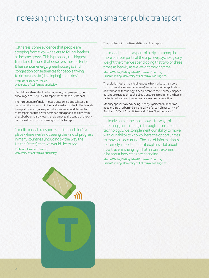### Increasing mobility through smarter public transport

'…[there is] some evidence that people are stepping from two-wheelers to four-wheelers as income grows. This is probably the biggest trend and the one that deserves most attention. It has serious energy, greenhouse gas and congestion consequences for people trying to do business in [developing] countries.'

Professor Elizabeth Deakin, University of California at Berkeley.

If mobility within cities is to be improved, people need to be encouraged to use public transport rather than private cars.

The introduction of multi-modal transport is a critical stage in unlocking the potential of cities and avoiding gridlock. Multi-mode transport refers to journeys in which a number of different forms of transport are used. While cars can bring people to cities from the suburbs or nearby towns, the journey to the centre of the city is achieved through transferring to public transport.

'…multi-modal transport is critical and that's a place where we're not seeing the kind of progress in many countries (including by the way the United States) that we would like to see.'

Professor Elizabeth Deakin, University of California at Berkeley. The problem with multi-modal is one of perception:

'…a modal change as part of a trip is among the more onerous parts of the trip... we psychologically weight the time we spend doing that two or three times as heavily as we weight moving time.'

Martin Wachs, Distinguished Professor Emeritus, Urban Planning, University of California, Los Angeles.

The solution (other than forcing people from private transport through fiscal or regulatory means) lies in the positive application of information technology. If people can see their journey mapped out and are guided through public transport in real time, the hassle factor is reduced and the car seems a less desirable option.

Mobility apps are already being used by significant numbers of people: 28% of urban Indians and 27% of urban Chinese, 14% of Brazilians, 16% of Argentinians and 18% of South Koreans.9

'…clearly one of the most powerful ways of affecting [multi-mode] is through information technology... we complement our ability to move with our ability to know where the opportunities to move are occurring. The use of information is extremely important and it explains a lot about how travel is changing. That, in turn, explains a lot about how cities are changing.'

Martin Wachs, Distinguished Professor Emeritus, Urban Planning, University of California, Los Angeles.

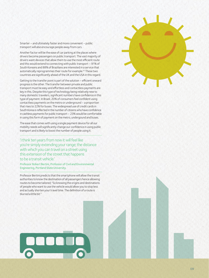Smarter – and ultimately faster and more convenient – public transport will also encourage people away from cars.

Another factor will be the ease of car parking at the places where drivers become passengers on public transport. The vast majority of drivers want devices that allow them to use the most efficient route and this would extend to connecting with public transport – 91% of South Koreans and 88% of Brazilians are interested in a service that automatically reprogrammes their route for example.10 These two countries are significantly ahead of the UK and the USA in this regard.

Getting to the transfer point is part of the solution – efficient onward progress is the other. The transfer between private and public transport must be easy and effortless and contactless payments are key in this. Despite this type of technology being relatively new to many domestic travelers, significant numbers have confidence in this type of payment. In Brazil, 20% of consumers feel confident using contactless payments on the metro or underground – a proportion that rises to 22% for buses. The widespread use of credit cards in South Korea is reflected in the number of citizens who have confidence in cashless payments for public transport – 23% would be comfortable in using this form of payment on the metro, undergound and buses.

The ease that comes with using a single payment device for all our mobility needs will significantly change our confidence in using public transport and is likely to boost the number of people using it.

'I think ten years from now it will feel like you're simply extending your range; the distance with which you can travel on a street using this extension of the street that happens to be a transit vehicle.'

Professor Robert Bertini, Professor of Civil and Environmental Engineering, Portland State University.

Professor Bertini predicts that the smartphone will allow the transit authorities to know the destination of all passengers hence allowing routes to become tailored; "So knowing the origins and destinations of people who want to use the vehicle would allow you to stop less and actually shorten your travel time. The definition of a route is blurred a little bit."

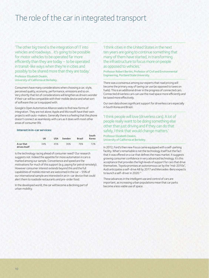### The role of the car in integrated transport

'The other big trend is the integration of IT into vehicles and roadways... it's going to be possible for motor vehicles to be operated far more efficiently than they are today – to be operated in transit-like ways when they're in cities and possibly to be shared more than they are today.'

Professor Elizabeth Deakin, University of California at Berkeley.

Consumers have many considerations when choosing a car; style, perceived quality, economy, performance, emissions and so on. Very shortly that list of considerations will lengthen as drivers wonder if their car will be compatible with their mobile device and what sort of software the car is equipped with.

Google's Open Automotive Alliance seeks to find new forms of integration. They are not alone; Apple and Microsoft have their own projects with auto-makers. Generally there is a feeling that the phone doesn't connect as seamlessly with cars as it does with most other areas of consumer life.

#### **Interest in in-car services:**

|                             | UK  | <b>USA</b> | Sweden | <b>Brazil</b> | South<br>Korea |
|-----------------------------|-----|------------|--------|---------------|----------------|
| A car that<br>drives itself | 34% | 45%        | 36%    | 76%           | 72%            |

Is the technology racing ahead of consumer need? Our research suggests not. Indeed the appetite for more automation in cars is marked among our sample. Convenience and speed are the motivations for much of this support (e.g. paying for petrol remotely). However consumer interest extends beyond this and the full capabilities of mobile internet are welcomed in the car – 55% of our international sample are interested in an in-car device that could alert them to roadside restaurants and pre-order food.

In the developed world, the car will become a declining part of urbanmobility.

'I think cities in the United States in the next ten years are going to continue something that many of them have started, in transforming the infrastructure to focus more on people as opposed to vehicles.'

Professor Robert Bertini, Professor of Civil and Environmental Engineering, Portland State University.

There was a consensus among our experts that road pricing will become the primary way of taxing car use (as opposed to taxes on fuels). This is an additional driver in the progress of connected cars. Connected driverless cars can use the road space more efficiently and be taxed more effectively.

Our own data shows significant support for driverless cars especially in South Korea and Brazil.

'I think people will love [driverless cars]. A lot of people really want to be doing something else other than just driving and if they can do that safely, I think that would change matters.'

Professor Elizabeth Deakin, University of California at Berkeley.

In 2012, Ford's then new Focus came equipped with a self-parking facility. What's remarkable is not the technology itself but the fact that it was offered on a car that defines the mass market. It suggests growing consumer confidence in very advanced technology. It's this acceptance that provides the high levels of support for cars that drive themselves. Toyota promises an autonomous car by the "mid-2010s", Audi anticipates a self-drive A8 by 2017 and Mercedes-Benz expects to launch a self-driver in 2020.11

These advances in the intelligent use and control of cars are important, as increasing urban populations mean that car parks become a less viable use of space.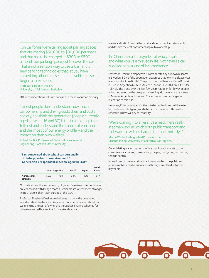'…in California we're talking about parking spaces that are costing \$50,000 to \$80,000 per space and that has to be charged at \$300 to \$500 amonth per parking space just to cover the cost. That is not a sensible way to use urban land... newparking technologies that let you have something other than self-parked vehicles also begin to make sense.' Professor Elizabeth Deakin,

University of California at Berkeley.

Other considerations will curb car use as a means of urban mobility:

'…most people don't understand how much car ownership and driving costs them and costs society, so I think this generation [people currently aged between 16 and 30] is the first to grasp that full cost and understand the impact of emissions and the impact of our energy profile – and the impact on their own wallets.'

Robert Bertini, Professor of Civil and Environmental Engineering, Portland State University.

 **"I am concerned about what I can personally do to help protect the environment" Generation Y respondents (people aged 18-34)12**

|                         |     | USA Argentina | <b>Brazil</b> | Japan | South<br>Korea |
|-------------------------|-----|---------------|---------------|-------|----------------|
| Agree/agree<br>strongly | 52% | 78%           | 84%           | 49%   | 54%            |

Our data shows the vast majority of young Brazilian and Argentinians are concerned with living a more sustainable life, a sentiment stronger in BRIC nations than it is in Europe or the USA.

Professor Elizabeth Deakin also believes that – in the developed world – urban dwellers are likely to be more hard-headed about cars, weighing up the cost of ownership versus car-sharing schemes for urban use and ad hoc rentals for weekends away.

In Asia and Latin America the car stands as more of a status symbol and despite the cost consumers aspire to ownership:

### '[In China the car] is a symbol of who you are and what you've achieved in life. Not having a car is looked at as a kind of incompetence.'

Professor Deakin's perspective is corroborated by our own research. In Sweden, 80% of the population disagrees that "owning a luxury car is an important goal in life". The proportion in China is 44%, in Russia it is 65%, in Argentina 67%, in Mexico 59% and in South Korea it is 54%. Tellingly, the trend over the last few years has been for fewer people to be motivated by the prospect of owning a luxury car – this is true in Mexico, Argentina, Brazil and China. Russia is something of an exception to this rule.<sup>13</sup>

However, if the potential of cities is to be realized cars, will have to be used more intelligently and alternatives provided. This will be reflected in how we pay for mobility:

### 'We're coming into an era, it's already here really in some ways, in which both public transport and highway use will be charged for electronically…'

Martin Wachs, Distinguished Professor Emeritus, Urban Planning, University of California, Los Angeles.

Consolidating travel payments offers significant benefits to the consumer – increasing transparency, helping budgeting and putting them in control.

Indeed, one of the most significant ways in which the public and private mobility can be enhanced is through simplified, effortless payments.

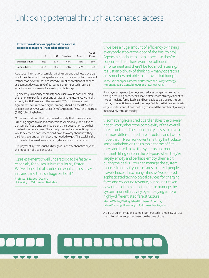### Unlocking potential through automated access

#### **Interest in a device or app that allows access to public transport (instead of tickets):**

|                        | UK  | <b>USA</b> | Sweden | <b>Brazil</b> | South<br>Korea |
|------------------------|-----|------------|--------|---------------|----------------|
| <b>Business travel</b> | 41% | 50%        | 48%    | 56%           | 59%            |
| Leisure travel         | 43% | 36%        | 49%    | 58%           | 64%            |
|                        |     |            |        |               |                |

Across our international sample half of leisure and business travelers would be interested in using a device or app to access public transport (rather than tickets). Despite limited current applications of phones as payment devices, 55% of our sample are interested in using a smartphone as a means of accessing public transport.

Significantly, a majority of smartphone users would consider using their phone to pay for goods and services in the future. As we might expect, South Korea leads the way with 76% of citizens agreeing. Agreement levels are even higher among urban Chinese (81%) and urban Indians (79%), with Brazil (67%), Argentina (66%) and Australia (51%) following behind.<sup>14</sup>

Our research shows that the greatest anxiety that travelers have is missing flights, trains and connections. Additionally, one in five of our sample finds transport links around their destination to be their greatest source of stress. The anxiety involved at connection points would be eased if consumers didn't have to worry about how they paid for travel and which ticket they needed to get. This explains the high levels of interest in using a card, device or app for ticketing.

Pre-payment systems such as Navigo in Paris offer benefits beyond the reduction of traveler stress:

'…pre-payment is well understood to be faster – especially for buses. It is miraculously faster. We've done a lot of studies on what causes delay in transit and that is a huge part of it.'

Professor Elizabeth Deakin, University of California at Berkeley.

'…we lose a huge amount of efficiency by having everybody stop at the door of the bus [to pay]. Agencies continue to do that because they're concerned that there won't be sufficient enforcement and there'll be too much stealing. It's just an old way of thinking – many operators are somehow not able to get over that hump.' Rachel Weinberger, Director of Research and Policy Strategy, Nelson\Nygaard Consulting Associates, New York.

Pre-payment speeds journeys and reduces congestion in stations through reducing bottlenecks. It also offers more strategic benefits through making fares flexible and being able to vary prices through the day to incentivize off-peak journeys. While the flat fare system is easy to understand, it does nothing to spread the number of journeys more evenly through the day.

'…something like a credit card enables the traveler not to worry about the complexity of the overall fare structure... The opportunity exists to have a far more differentiated fare structure and Iwould hope that in New York over time they'll introduce some variations on their simple theme of flat fares and it will make the system's use more efficient, filling seats in the off-peak when they're largely empty and perhaps empty them a bit during the peaks... You can manage the system more efficiently if you use fares to affect people's travel choices. In so many cities we've adopted sophisticated technological devices for charging fares and collecting revenue, but haven't taken advantage of the opportunities to manage the system more effectively by employing a more highly-differentiated fare structure.' Martin Wachs, Distinguished Professor Emeritus,

Urban Planning, University of California, Los Angeles.

A third of our international sample is interested in a mobility service that offers different prices based on the time of day.

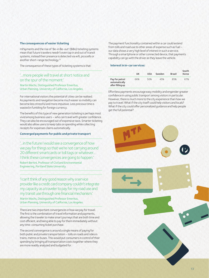#### **The consequences of easier ticketing**

mPayments and the rise of 'Be-in Be-out' (BiBo) ticketing systems mean that future travelers needn't even tap in and out of transit systems, instead their presence is detected via wifi, picocells or another short-range technology.15

The consequence of these types of ticketing systems is that:

### '…more people will travel at short notice and on the spur of the moment.'

Martin Wachs, Distinguished Professor Emeritus, Urban Planning, University of California, Los Angeles.

For international visitors the potential of cities can be realised. As payments and navigation become much easier so mobility can become less stressful and more impulsive. Less precious time is wasted in fumbling for foreign currency.

The benefits of this type of new generation ticketing is perhaps most vivid among business users – who can travel with greater confidence. They can also be encouraged out of expensive taxis. Smarter ticketing would also allow users to keep tabs on spending while collecting receipts for expenses claims automatically.

### **Converged payments for public and private transport**

'…in the future I would see a convergence of how we pay for things so that we're not carrying around 20 different smartcards or toll tags or whatever... I think these convergences are going to happen.'

Robert Bertini, Professor of Civil and Environmental Engineering, Portland State University.

'I can't think of any good reason why a service provider like a credit card company couldn't integrate my capacity as a traveler to pay for my road use and my transit use through one financial mechanism.' Martin Wachs, Distinguished Professor Emeritus, Urban Planning, University of California, Los Angeles.

There are two important convergences in how we pay for travel. The first is the combination of travel information and payments, allowing the traveler to make smart journeys that are both time and cost efficient, and being able to pay for them immediately without any time-consuming ticket purchase.

The second convergence is around a single means of paying for both public and private transportation – tolls on roads and rides in trains, metros or buses. This would put consumers in control of their spending by bringing all transportation costs together where they are more readily analyzed and budgeted for.

The payment functionality contained within a car could extend fromtolls and road use to other areas of expense such as fuel – our data shows a very high level of interest in such a service. Through a smartphone or other connected device, that payments capability can go with the driver as they leave the vehicle.

#### **Interest in in-car services:**

|                                                     | UK  | <b>USA</b> | Sweden | <b>Brazil</b> | South<br>Korea |
|-----------------------------------------------------|-----|------------|--------|---------------|----------------|
| Pay for petrol<br>automatically<br>after filling up | 66% | 50%        | 45%    | 85%           | 67%            |

Effortless payments encourage easy mobility and engender greater confidence in using public transport among visitors in particular. However, there is much more to the city experience than how we pay to travel. What if the city itself could help visitors and locals? What if the city could offer personalized quidance and help people get the full potential?

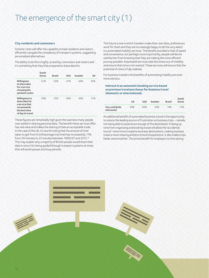### The emergence of the smart city (1)

#### **City residents and commuters**

Smarter cities will offer the capability to help residents and visitors efficiently navigate the complexity of transport systems, suggesting personalized alternatives.

The ability to do this is highly-prized by commuters and visitors and it's something that they'd be prepared to share data for.

|                                                                                                       | South<br>Korea | <b>Brazil</b> | <b>USA</b> | Sweden | UK  |
|-------------------------------------------------------------------------------------------------------|----------------|---------------|------------|--------|-----|
| Willingness<br>to share data<br>for a service<br>choosing the<br>quickest routes                      | 67%            | 50%           | 47%        | 46%    | 40% |
| Willingness to<br>share data for<br>a service that<br>recommends<br>the best time<br>of day to travel | 58%            | 52%           | 49%        | 46%    | 51% |

These figures are remarkably high given the wariness many people now exhibit in sharing personal data. The benefit these services offer has real value and makes the sharing of data an acceptable trade. In the case of the UK, it's worth noting that the amount of time taken to get from A to B (average trip time) has increased by 11% from 20 minutes to 23 minutes between 1995/97 and 2012.<sup>16</sup> This may explain why a majority of British people would share their data in return for being guided through transport systems at times that will avoid queues and busy periods.

The future is one in which travelers make their own data, preferences work for them and they are increasingly happy to (at the very least) try automated mobility services. The benefit provided is that of speed and convenience, but perhaps more importantly, people will derive satisfaction from knowing that they are making the most efficient journey possible. Automated services take the stress out of mobility and ensure that time is not wasted. These services will ensure that the potential of cities is fully realized.

For business travelers the benefits of automating mobility are even more obvious.

#### **Interest in an automatic booking service based on previous travel purchases for business travel (domestic or international).**

|                              | UK  | <b>USA</b> | Sweden | <b>Brazil</b> | South<br>Korea |
|------------------------------|-----|------------|--------|---------------|----------------|
| Very and Quite<br>interested | 49% | 60%        | 29%    | 74%           | 73%            |

An additional benefit of automated business travel is the opportunity to reduce the leading source of frustration on business trips – namely not being able to experience enough of the destination. Freeing up time from organizing and booking travel will allow the 'accidental tourist' more time to explore business destinations, making business travel a more relaxing and less stressful experience. It also makes trips faster and smoother. The prime benefit for employers is time saving.

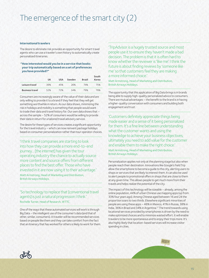### The emergence of the smart city (2)

#### **International travelers**

The desire to eliminate risk provides an opportunity for smart travel agents who can use a traveler's own history to automatically create personalized itineraries.

#### **"How interested would you be in a service that books your trip automatically based on a set of preferences you have provided?"**

|                        | UK  | <b>USA</b> | Sweden | <b>Brazil</b> | South<br>Korea |
|------------------------|-----|------------|--------|---------------|----------------|
| Leisure travel         | 39% | 45%        | 26%    | 74%           | 75%            |
| <b>Business travel</b> | 52% | 72%        | 34%    | 79%           | 79%            |

Consumers are increasingly aware of the value of their data and are only willing to provide it to a brand if they feel that they will get something worthwhile in return. As our data shows, minimizing the risk in holidays and mobility is something that people would want to trade their data and travel history for. Our own data shows that – across the sample – 52% of consumers would be willing to provide their data in return for a tailored travel advisory service.

The desire for these types of services creates a significant opportunity for the travel industry – which can now reinvent package holidays based on consumer personalization rather than tour operator choices.

'I think travel companies are starting to look into how they can provide a more end-to-end journey... [the internet] has given the tour operating industry the chance to actually source more content and source offers from different places to find the best offer. Thosewho have invested in it are now using it to their advantage.' Matt Armstrong, Head of Marketing and Distribution, British Airways Holidays.

'So technology to replace that [conventional travel agents] is just a natural progression I think.' Rochelle Turner, Head of Research, WTTC.

One of the ways that these automated services will work is through Big Data – the intelligent use of the consumer's data (and that of other, similar, consumers). A traveler will be recommended services based on people like them and they can take comfort from the fact that an itinerary that has worked for others is likely to work for them. 'TripAdvisor is a hugely trusted source and most people use it to ensure they haven't made a bad decision. The problem is that it is often hard to know whether the reviewer is 'like me'. I think the future is about finding reviews by 'someone like me' so that customers feel they are making amore informed choice.'

Matt Armstrong, Head of Marketing and Distribution, British Airways Holidays.

The opportunity that this application of Big Data brings is in brands being able to supply high-quality personalized advice to consumers. There are mutual advantages – the benefit to the brand is in having a higher-quality conversation with consumers and building both engagement and trust.

'Customers definitely appreciate things being made easier and a sense of it being personalized for them. It's a fine line between understanding what the customer wants and using the knowledge to achieve your business objectives; ultimately you need to add value for the customer and enable them to make the right choice.' Matt Armstrong, Head of Marketing and Distribution, British Airways Holidays.

Personalization applies not only at the planning stage but also when people reach their destination. Innovations like Google's Field Trip allow the smartphone to become a guide to the city, alerting users to shops or services that are likely to interest them. It can also be used to alert people to promotional offers in shops that are close to them at any given time. This allows people to get much more from their travels and helps realize the potential of the city.

The impact of this technology will be sizeable – already, among the online population, 44% of urban Chinese use mapping apps (up from 33% four years ago). Among Chinese aged between 16 and 24 the proportion soars to two thirds. Elsewhere significant minorities of people are using these apps – 46% in Mexico, 41% in Russia, 38% in India, 36% in Brazil and 34% in Argentina.17 The trend towards using locational services provided by smartphones is driven by the need to make optimized choices and to minimize wasted effort. It will enable travelers to be more spontaneous and to enjoy their trips more. It's also highly likely that location-based services will increase visitor spending in cities.

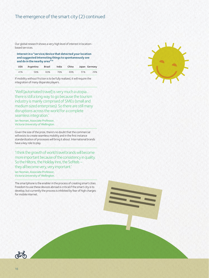### The emergence of the smart city (2) continued

Our global research shows a very high level of interest in locationbased services.

**Interest in a "service/device that detected your location and suggested interesting things to spontaneously see and do in the nearby area"18**

|     | USA Argentina | Brazil | India | China |     | Japan Germany |
|-----|---------------|--------|-------|-------|-----|---------------|
| 41% | 58%           | 60%    | 76%   | 69%   | 51% | 29%           |

If mobility without friction is to be fully realized, it will require the integration of many disparate players.

'Well [automated travel] is very much a utopia... there is still a long way to go because the tourism industry is mainly comprised of SMEs (small and medium sized enterprises). So there are still many disruptions across the world for a complete seamless integration.'

Ian Yeoman, Associate Professor, Victoria University of Wellington.

Given the size of the prize, there's no doubt that the commercial will exists to create seamless mobility and in the first instance standardization of processes will bring it about. International brands have a key role to play.

'I think the growth of world travel brands will become more important because of the consistency in quality. So the Hiltons, the Holiday Inns, the Sofitels – they all become very, very important.'

Ian Yeoman, Associate Professor, Victoria University of Wellington.

The smartphone is the enabler in the process of creating smart cities. Freedom to use these devices abroad is critical if the smart city is to develop, but currently the process is inhibited by fear of high charges for mobile internet.





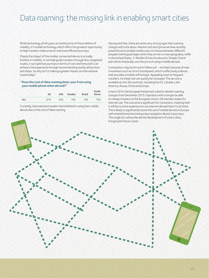### Data roaming: the missing link in enabling smart cities

While technology of all types can tackle some of the problems of mobility, it's mobile technology which offers the greatest opportunity to help travelers make smarter and more efficient journeys.

Clearly the impact of the mobile, connected device is virtually limitless in mobility. It can help guide travelers through less congested routes, it can optimize journeys in terms of cost and time and it can enhance the experience through recommending nearby attractions and shops. So why isn't it making a greater impact on international travel today?

#### **"Does the cost of data roaming deter your from using your mobile phone when abroad?"**

|     | UK  | <b>USA</b> | Sweden | <b>Brazil</b> | South<br>Korea |
|-----|-----|------------|--------|---------------|----------------|
| Yes | 81% | 56%        | 78%    | 74%           | 75%            |

Currently, international travelers feel inhibited in using their mobile device due to the cost of data roaming.

Having said that, there are some very strong signs that roaming charges will come down. MasterCard and Syniverse have recently joined forces to enable mobile users to choose between different prepaid roaming packages when they arrive in a new geography, while in the United States, T-Mobile US has introduced a 'Simple Choice' plan which drastically cuts the price of using a mobile abroad.

Competitors may be forced to follow suit – not least because of new innovations such as Uros's Goodspeed, which is effectively a device that provides a mobile wifi hotspot. Appealing most to frequent travelers, its initial cost can quickly be recouped. The service is available across 56 countries, including the US, Canada, Latin America, Russia, China and Europe.

In April 2014, the European Parliament voted to abolish roaming charges from December 2015. Operators will no longer be able to charge travelers to the European Union's 28 member states for internet use. This outcome is significant for consumers, meaning that it will be no more expensive to use internet abroad than it is at home. This is likely to significantly boost the use of mobile devices in Europe with smartphones becoming a key navigation device in journeys. This single act will accelerate the development of smart cities, bringing the future closer.

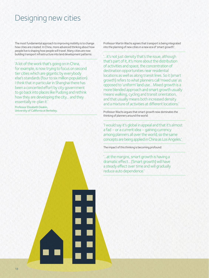### Designing new cities

The most fundamental approach to improving mobility is to change how cities are created. In China, more advanced thinking about how people live is shaping how people will travel. Many cities are now building transport infrastructure into land development patterns:

'A lot of the work that's going on in China, for example, is now trying to focus on second tier cities which are gigantic by everybody else's standards (four to six million population). Ithink that in particular in Shanghai there has been a concerted effort by city government to go back into places like Pudong and rethink how they are developing the city… and they essentially re-plan it.'

Professor Elizabeth Deakin, University of California at Berkeley. Professor Martin Wachs agrees that transport is being integrated into the planning of new cities in a new era of 'smart growth':

'…it's not just density that's the issue, although that's part of it, it's more about the distribution of activities and space, the concentration of destination opportunities near residential locations as well as along transit lines. So it [smart growth] refers to what planners call 'mixed use' as opposed to 'uniform' land use... Mixed growth is a more blended approach and smart growth usually means walking, cycling and transit orientation, and that usually means both increased density and a mixture of activities at different locations.'

Professor Wachs argues that smart growth now dominates the thinking of planners around the world:

'I would say it's global in appeal and that it's almost a fad – or a current idea – gaining currency among planners all over the world; so the same concepts are being applied in China as Los Angeles.'

The impact of this thinking is becoming profound:

'…at the margins, smart growth is having a dramatic effect... [Smart growth] will have a steady effect over time and will gradually reduce auto dependence.'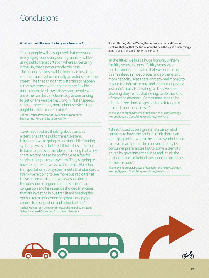### Conclusions

#### **What will mobility look like ten years from now?**

'I think people will be surprised that everyone – every age group, every demographic – will be using public transportation whereas, certainly in the US, that's not currently the case... The second surprise will be how seamless travel is– the transit vehicle is really an extension of the street. The third thing that is starting to happen is that systems might become more flexible... more customized towards serving people who are either on the vehicle already or demanding to get on the vehicle [resulting in] faster speeds, shorter travel times, more direct services that might be a little more flexible.'

Robert Bertini, Professor of Civil and Environmental Engineering, Portland State University.

'…we need to start thinking about taxis as extensions of the public transit system... Ithink that we're going to see more bike sharing systems. As I said before, I think cities are going to have to get over this idea of thinking that a bike share system has to be profitable as a fee for service transportation system. They're going to have to figure out ways to finance it... No other transportation sub-system meets that standard... I think we're going to see more bus rapid transit. I have a former student who was looking at the question of regions that are resilient to congestion and his research showed that cities that are investing in bus transit are beating the odds in terms of economic growth once you control for congestion and other factors.'

Rachel Weinberger, Director of Research and Policy Strategy, Nelson\Nygaard Consulting Associates, New York.

Robert Bertini, Martin Wachs, Rachel Weinberger and Elizabeth Deakin all believe that the future of mobility in the West is increasingly about public transport rather than private.

'In the fifties we built a huge highway system for fifty years and now it's fifty years later... and the amount of traffic that we built for has been realized in most places and so there isn't more capacity. Also there isn't any real money to rebuild the infrastructure and I think that people just aren't really that willing, or they've been showing they're not that willing, to do that kind of traveling anymore. Commuting used to be a kind of free time or a joy and now it tends to bemuch more of a hassle.'

Rachel Weinberger, Director of Research and Policy Strategy, Nelson\Nygaard Consulting Associates, New York.

'I think it used to be a greater status symbol certainly to have the car but I think there's an emerging set for whom the status symbol is not to have a car. A lot of this is driven already by consumer preferences but to some extent it's driven by government policies and I think the politicians are far behind the populous on some ofthese issues.'

Rachel Weinberger, Director of Research and Policy Strategy, Nelson\Nygaard Consulting Associates, New York.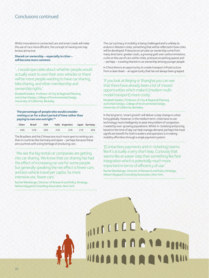### Conclusions continued

Whilst innovations in connected cars and smart roads will make the use of cars more efficient, the concept of owning one may be less attractive.

**Shared car ownership – especially in cities – will become more common.**

'…I would speculate about whether people would actually want to own their own vehicles or there will be more people wanting to have car sharing, bike sharing, and other membership and ownership rights.'

Elizabeth Deakin, Professor of City & Regional Planning and Urban Design, College of Environmental Design, University of California, Berkeley.

**The percentage of people who would consider renting a car for a short period of time rather than paying to own one outright.19**

| China | Brazil | <b>USA</b> |     | India Argentina Japan Germany |     |     |
|-------|--------|------------|-----|-------------------------------|-----|-----|
| 48%   | 52%    | 28%        | 41% | 32%                           | 21% | 38% |

The Brazilians and the Chinese are much more open to renting cars than in countries like Germany and Japan – perhaps because these are countries with a long heritage of producing cars.

 'We see the big rental car companies are getting into car sharing. We know that car sharing has had the effect of increasing car use for some people but generally speaking the net effect is fewer cars and less vehicle travel per capita. So more intensive use, fewer cars.'

Rachel Weinberger, Director of Research and Policy Strategy, Nelson\Nygaard Consulting Associates, New York.

The car's primacy in mobility is being challenged and is unlikely to endure in Western cities; something that will be reflected in how cities will be developed. Pressures on private car ownership come from many directions: greater costs, a growing guilt over carbon emissions, curbs on the use of cars within cities, pressure on parking spaces and – perhaps – a waning interest in car ownership among younger people.

In China there is an opportunity to create transport infrastructure from a clean sheet – an opportunity that has not always been grasped.

'If you look at Beijing or Shanghai you can see that there have already been a lot of missed opportunities which make it [modern multimodal transport] more costly.'

Elizabeth Deakin, Professor of City & Regional Planning and Urban Design, College of Environmental Design, University of California, Berkeley.

In the long term, 'smart growth' will deliver a step change in urban living globally. However, in the medium term, cities have to use technology more intelligently to ease the problem of congestion created by ever-growing populations. Whilst m-ticketing and pricing based on the time of day can help manage demand, perhaps the most significant benefit for both travelers and operators is in making mobility effortless through a single payment system.

'[Contactless payments and m-ticketing] seems like it's actually a very short leap. Curiously that seems like an easier step than something like fare integration which is potentially much more important in terms of efficiency of use.'

Rachel Weinberger, Director of Research and Policy Strategy, Nelson\Nygaard Consulting Associates, New York.

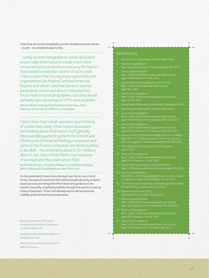Cities that are connected globally are the ultimate outcome and are – as yet – an unrealized opportunity.

'…surely an interchangeable or universal system would make [international travel] much more convenient and convenience is among the factors that would increase the volume of such travel. I have a sense that it's a business opportunity for organizations like MasterCard and American Express and others, and that planners are not particularly concerned about it because they focus more on local geographies, but they would certainly take advantage of it if it were available.' Martin Wachs, Distinguished Professor Emeritus, Urban Planning, University of California, Los Angeles.

'I don't think that transit operators [are thinking of connected cities], I think transit visionaries are thinking about that kind of stuff [globally interoperable payment systems for transit] and I think some of these technology companies and some of the finance companies are thinking about it, like IBM... You're thinking about it, I'm thinking about it, but I don't think there's any real sense of an organized discussion about that.'

Rachel Weinberger, Director of Research and Policy Strategy, Nelson\Nygaard Consulting Associates, New York.

For the potential of cities to be unlocked, two factors are critical. Firstly, the ease of movement that will be brought about by locationbased services providing both information and guidance to the traveler. Secondly, simplifying mobility through the use of a universal means of payment. These twin developments will revolutionize mobility and enrich the travel experience.

Research and expert interviews conducted by the Future Foundation futurefoundation.net

Designed and illustrated by Fishburn™ thisisfishburn.com

Additional Illustration by opticnerve™ opticnerveusa.tv

### References

- World Tourism Organization, Tourism 2020 Vision.
- Source: Google/nVision
- 
- 4. Source: National Geographic Greendex/nVision
- 
- 6. Global Health Observatory, World Health Organization, 2014.
- 
- Base: 1,000-5,000 online respondents per country aged 16 - 64 (Mexico 16-54, Indonesia 16-44), 2013.
- Base: 1,000-5,000 online respondents per country aged 16 - 64 (Mexico 16-54, Indonesia 16-44), 2013.
- 10. Source: MasterCard/Fishburn Hedges/Future Foundation Base: 330-517 online respondents, who are car owners, per country aged 18+ (South Korea and Brazil 18-64), 2013.
- 11. "How to Not Drive", Georg Kacher, Car magazine, March 2014.
- Base: 1,000-5,000 online respondents per country aged 16 - 64 (Mexico 16-54), 2012.
- 13. Source: National Geographic Greendex/nVision Base: 1,000 online respondents per country aged 18+, 2012.
- Base: 600-3,500 online respondents per country who own<br>a mobile phone aged 16-64 (Mexico 16-54), 2012.
- 15. "The World at your Fingertips", National Geographic Traveler, Donald Strachan, January/February 2014.
- 16. National Travel Survey: 2012, Department for Transport, 30 July 2013.
- Base: 1,000-5,000 online respondents per country aged 16 - 64 (Mexico 16-54, Indonesia 16-44), 2013.
- 18. Source: nVision Research Base: 1,000-5,000 online respondents per country aged 16 - 64 (Mexico 16-54), 2012.
- aged 16 64 (Mexico 16-54), September 2011.